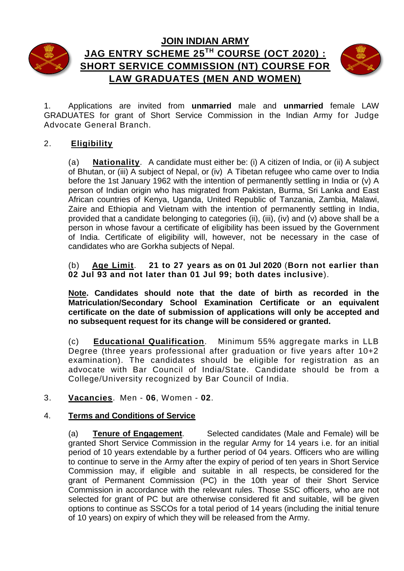



# **JAG ENTRY SCHEME 25 TH COURSE (OCT 2020) : SHORT SERVICE COMMISSION (NT) COURSE FOR LAW GRADUATES (MEN AND WOMEN)**



1. Applications are invited from **unmarried** male and **unmarried** female LAW GRADUATES for grant of Short Service Commission in the Indian Army for Judge Advocate General Branch.

## 2. **Eligibility**

(a) **Nationality**. A candidate must either be: (i) A citizen of India, or (ii) A subject of Bhutan, or (iii) A subject of Nepal, or (iv) A Tibetan refugee who came over to India before the 1st January 1962 with the intention of permanently settling in India or (v) A person of Indian origin who has migrated from Pakistan, Burma, Sri Lanka and East African countries of Kenya, Uganda, United Republic of Tanzania, Zambia, Malawi, Zaire and Ethiopia and Vietnam with the intention of permanently settling in India, provided that a candidate belonging to categories (ii), (iii), (iv) and (v) above shall be a person in whose favour a certificate of eligibility has been issued by the Government of India. Certificate of eligibility will, however, not be necessary in the case of candidates who are Gorkha subjects of Nepal.

(b) **Age Limit**. **21 to 27 years as on 01 Jul 2020** (**Born not earlier than 02 Jul 93 and not later than 01 Jul 99; both dates inclusive**).

**Note. Candidates should note that the date of birth as recorded in the Matriculation/Secondary School Examination Certificate or an equivalent certificate on the date of submission of applications will only be accepted and no subsequent request for its change will be considered or granted.**

(c) **Educational Qualification**. Minimum 55% aggregate marks in LLB Degree (three years professional after graduation or five years after 10+2 examination). The candidates should be eligible for registration as an advocate with Bar Council of India/State. Candidate should be from a College/University recognized by Bar Council of India.

### 3. **Vacancies**. Men - **06**, Women - **02**.

### 4. **Terms and Conditions of Service**

(a) **Tenure of Engagement**. Selected candidates (Male and Female) will be granted Short Service Commission in the regular Army for 14 years i.e. for an initial period of 10 years extendable by a further period of 04 years. Officers who are willing to continue to serve in the Army after the expiry of period of ten years in Short Service Commission may, if eligible and suitable in all respects, be considered for the grant of Permanent Commission (PC) in the 10th year of their Short Service Commission in accordance with the relevant rules. Those SSC officers, who are not selected for grant of PC but are otherwise considered fit and suitable, will be given options to continue as SSCOs for a total period of 14 years (including the initial tenure of 10 years) on expiry of which they will be released from the Army.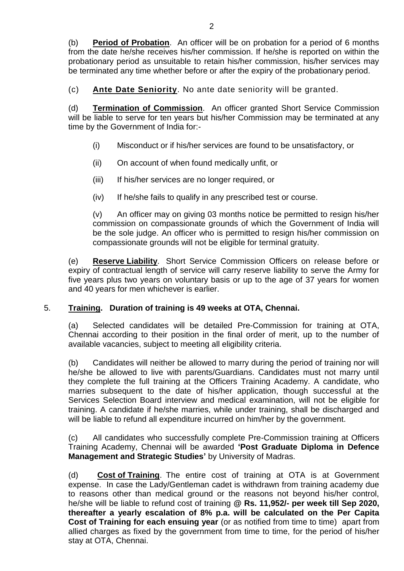(b) **Period of Probation**.An officer will be on probation for a period of 6 months from the date he/she receives his/her commission. If he/she is reported on within the probationary period as unsuitable to retain his/her commission, his/her services may be terminated any time whether before or after the expiry of the probationary period.

(c) **Ante Date Seniority**. No ante date seniority will be granted.

(d) **Termination of Commission**.An officer granted Short Service Commission will be liable to serve for ten years but his/her Commission may be terminated at any time by the Government of India for:-

- (i) Misconduct or if his/her services are found to be unsatisfactory, or
- (ii) On account of when found medically unfit, or
- (iii) If his/her services are no longer required, or
- (iv) If he/she fails to qualify in any prescribed test or course.

(v) An officer may on giving 03 months notice be permitted to resign his/her commission on compassionate grounds of which the Government of India will be the sole judge. An officer who is permitted to resign his/her commission on compassionate grounds will not be eligible for terminal gratuity.

(e) **Reserve Liability**.Short Service Commission Officers on release before or expiry of contractual length of service will carry reserve liability to serve the Army for five years plus two years on voluntary basis or up to the age of 37 years for women and 40 years for men whichever is earlier.

### 5. **Training. Duration of training is 49 weeks at OTA, Chennai.**

(a) Selected candidates will be detailed Pre-Commission for training at OTA, Chennai according to their position in the final order of merit, up to the number of available vacancies, subject to meeting all eligibility criteria.

(b) Candidates will neither be allowed to marry during the period of training nor will he/she be allowed to live with parents/Guardians. Candidates must not marry until they complete the full training at the Officers Training Academy. A candidate, who marries subsequent to the date of his/her application, though successful at the Services Selection Board interview and medical examination, will not be eligible for training. A candidate if he/she marries, while under training, shall be discharged and will be liable to refund all expenditure incurred on him/her by the government.

(c) All candidates who successfully complete Pre-Commission training at Officers Training Academy, Chennai will be awarded **'Post Graduate Diploma in Defence Management and Strategic Studies'** by University of Madras.

(d) **Cost of Training**. The entire cost of training at OTA is at Government expense. In case the Lady/Gentleman cadet is withdrawn from training academy due to reasons other than medical ground or the reasons not beyond his/her control, he/she will be liable to refund cost of training **@ Rs. 11,952/- per week till Sep 2020, thereafter a yearly escalation of 8% p.a. will be calculated on the Per Capita Cost of Training for each ensuing year** (or as notified from time to time) apart from allied charges as fixed by the government from time to time, for the period of his/her stay at OTA, Chennai.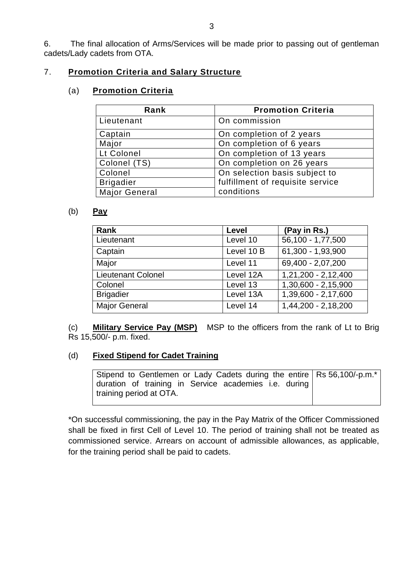6. The final allocation of Arms/Services will be made prior to passing out of gentleman cadets/Lady cadets from OTA.

## 7. **Promotion Criteria and Salary Structure**

#### (a) **Promotion Criteria**

| Rank                 | <b>Promotion Criteria</b>        |
|----------------------|----------------------------------|
| Lieutenant           | On commission                    |
| Captain              | On completion of 2 years         |
| Major                | On completion of 6 years         |
| Lt Colonel           | On completion of 13 years        |
| Colonel (TS)         | On completion on 26 years        |
| Colonel              | On selection basis subject to    |
| <b>Brigadier</b>     | fulfillment of requisite service |
| <b>Major General</b> | conditions                       |

#### (b) **Pay**

| Rank                      | Level      | (Pay in Rs.)        |
|---------------------------|------------|---------------------|
| Lieutenant                | Level 10   | 56,100 - 1,77,500   |
| Captain                   | Level 10 B | 61,300 - 1,93,900   |
| Major                     | Level 11   | 69,400 - 2,07,200   |
| <b>Lieutenant Colonel</b> | Level 12A  | 1,21,200 - 2,12,400 |
| Colonel                   | Level 13   | 1,30,600 - 2,15,900 |
| <b>Brigadier</b>          | Level 13A  | 1,39,600 - 2,17,600 |
| <b>Major General</b>      | Level 14   | 1,44,200 - 2,18,200 |

(c) **Military Service Pay (MSP)** MSP to the officers from the rank of Lt to Brig Rs 15,500/- p.m. fixed.

### (d) **Fixed Stipend for Cadet Training**

Stipend to Gentlemen or Lady Cadets during the entire Rs 56,100/-p.m.\* duration of training in Service academies i.e. during training period at OTA.

\*On successful commissioning, the pay in the Pay Matrix of the Officer Commissioned shall be fixed in first Cell of Level 10. The period of training shall not be treated as commissioned service. Arrears on account of admissible allowances, as applicable, for the training period shall be paid to cadets.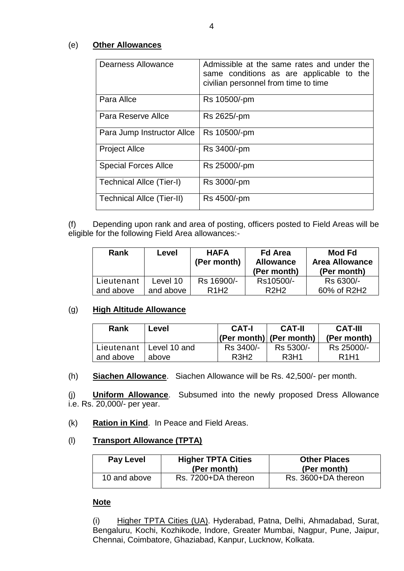#### (e) **Other Allowances**

| Dearness Allowance          | Admissible at the same rates and under the<br>same conditions as are applicable to the<br>civilian personnel from time to time |
|-----------------------------|--------------------------------------------------------------------------------------------------------------------------------|
| Para Allce                  | Rs 10500/-pm                                                                                                                   |
| Para Reserve Allce          | Rs 2625/-pm                                                                                                                    |
| Para Jump Instructor Allce  | Rs 10500/-pm                                                                                                                   |
| <b>Project Allce</b>        | Rs 3400/-pm                                                                                                                    |
| <b>Special Forces Allce</b> | Rs 25000/-pm                                                                                                                   |
| Technical Allce (Tier-I)    | Rs 3000/-pm                                                                                                                    |
| Technical Allce (Tier-II)   | Rs 4500/-pm                                                                                                                    |

(f) Depending upon rank and area of posting, officers posted to Field Areas will be eligible for the following Field Area allowances:-

| <b>Rank</b> | Level     | <b>HAFA</b><br>(Per month)    | <b>Fd Area</b><br><b>Allowance</b><br>(Per month) | Mod Fd<br><b>Area Allowance</b><br>(Per month) |
|-------------|-----------|-------------------------------|---------------------------------------------------|------------------------------------------------|
| Lieutenant  | Level 10  | Rs 16900/-                    | Rs10500/-                                         | Rs 6300/-                                      |
| and above   | and above | R <sub>1</sub> H <sub>2</sub> | R2H2                                              | 60% of R2H2                                    |

#### (g) **High Altitude Allowance**

| Rank      | Level                     | <b>CAT-I</b>                  | <b>CAT-II</b><br>$ (Per month) $ (Per month) | <b>CAT-III</b><br>(Per month) |
|-----------|---------------------------|-------------------------------|----------------------------------------------|-------------------------------|
|           | Lieutenant   Level 10 and | Rs 3400/-                     | Rs 5300/-                                    | Rs 25000/-                    |
| and above | above                     | R <sub>3</sub> H <sub>2</sub> | R <sub>3</sub> H <sub>1</sub>                | R <sub>1</sub> H <sub>1</sub> |

(h) **Siachen Allowance**. Siachen Allowance will be Rs. 42,500/- per month.

(j) **Uniform Allowance**. Subsumed into the newly proposed Dress Allowance i.e. Rs. 20,000/- per year.

#### (k) **Ration in Kind**. In Peace and Field Areas.

#### (l) **Transport Allowance (TPTA)**

| Pay Level    | <b>Higher TPTA Cities</b><br>(Per month) | <b>Other Places</b><br>(Per month) |
|--------------|------------------------------------------|------------------------------------|
| 10 and above | Rs. 7200+DA thereon                      | Rs. 3600+DA thereon                |

#### **Note**

(i) Higher TPTA Cities (UA). Hyderabad, Patna, Delhi, Ahmadabad, Surat, Bengaluru, Kochi, Kozhikode, Indore, Greater Mumbai, Nagpur, Pune, Jaipur, Chennai, Coimbatore, Ghaziabad, Kanpur, Lucknow, Kolkata.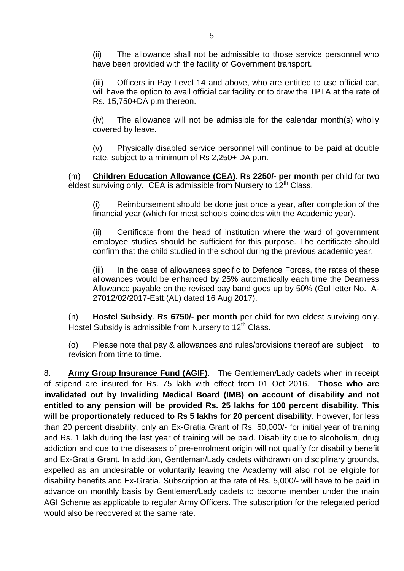(ii) The allowance shall not be admissible to those service personnel who have been provided with the facility of Government transport.

(iii) Officers in Pay Level 14 and above, who are entitled to use official car, will have the option to avail official car facility or to draw the TPTA at the rate of Rs. 15,750+DA p.m thereon.

(iv) The allowance will not be admissible for the calendar month(s) wholly covered by leave.

(v) Physically disabled service personnel will continue to be paid at double rate, subject to a minimum of Rs 2,250+ DA p.m.

(m) **Children Education Allowance (CEA)**. **Rs 2250/- per month** per child for two eldest surviving only. CEA is admissible from Nursery to  $12<sup>th</sup>$  Class.

(i) Reimbursement should be done just once a year, after completion of the financial year (which for most schools coincides with the Academic year).

(ii) Certificate from the head of institution where the ward of government employee studies should be sufficient for this purpose. The certificate should confirm that the child studied in the school during the previous academic year.

(iii) In the case of allowances specific to Defence Forces, the rates of these allowances would be enhanced by 25% automatically each time the Dearness Allowance payable on the revised pay band goes up by 50% (GoI letter No. A-27012/02/2017-Estt.(AL) dated 16 Aug 2017).

(n) **Hostel Subsidy**. **Rs 6750/- per month** per child for two eldest surviving only. Hostel Subsidy is admissible from Nursery to 12<sup>th</sup> Class.

(o) Please note that pay & allowances and rules/provisions thereof are subject to revision from time to time.

8. **Army Group Insurance Fund (AGIF)**. The Gentlemen/Lady cadets when in receipt of stipend are insured for Rs. 75 lakh with effect from 01 Oct 2016. **Those who are invalidated out by Invaliding Medical Board (IMB) on account of disability and not entitled to any pension will be provided Rs. 25 lakhs for 100 percent disability. This will be proportionately reduced to Rs 5 lakhs for 20 percent disability**. However, for less than 20 percent disability, only an Ex-Gratia Grant of Rs. 50,000/- for initial year of training and Rs. 1 lakh during the last year of training will be paid. Disability due to alcoholism, drug addiction and due to the diseases of pre-enrolment origin will not qualify for disability benefit and Ex-Gratia Grant. In addition, Gentleman/Lady cadets withdrawn on disciplinary grounds, expelled as an undesirable or voluntarily leaving the Academy will also not be eligible for disability benefits and Ex-Gratia. Subscription at the rate of Rs. 5,000/- will have to be paid in advance on monthly basis by Gentlemen/Lady cadets to become member under the main AGI Scheme as applicable to regular Army Officers. The subscription for the relegated period would also be recovered at the same rate.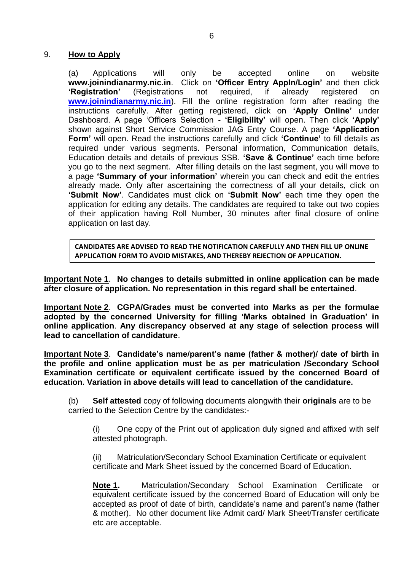#### 9. **How to Apply**

(a) Applications will only be accepted online on website **www.joinindianarmy.nic.in**. Click on **'Officer Entry Appln/Login'** and then click **'Registration'** (Registrations not required, if already registered on **[www.joinindianarmy.nic.in](http://www.joinindianarmy.nic.in/)**). Fill the online registration form after reading the instructions carefully. After getting registered, click on **'Apply Online'** under Dashboard. A page 'Officers Selection - **'Eligibility'** will open. Then click **'Apply'** shown against Short Service Commission JAG Entry Course. A page **'Application Form'** will open. Read the instructions carefully and click **'Continue'** to fill details as required under various segments. Personal information, Communication details, Education details and details of previous SSB. **'Save & Continue'** each time before you go to the next segment. After filling details on the last segment, you will move to a page **'Summary of your information'** wherein you can check and edit the entries already made. Only after ascertaining the correctness of all your details, click on **'Submit Now'**. Candidates must click on **'Submit Now'** each time they open the application for editing any details. The candidates are required to take out two copies of their application having Roll Number, 30 minutes after final closure of online application on last day.

**CANDIDATES ARE ADVISED TO READ THE NOTIFICATION CAREFULLY AND THEN FILL UP ONLINE APPLICATION FORM TO AVOID MISTAKES, AND THEREBY REJECTION OF APPLICATION.**

**Important Note 1**. **No changes to details submitted in online application can be made after closure of application. No representation in this regard shall be entertained**.

**Important Note 2**. **CGPA/Grades must be converted into Marks as per the formulae adopted by the concerned University for filling 'Marks obtained in Graduation' in online application**. **Any discrepancy observed at any stage of selection process will lead to cancellation of candidature**.

**Important Note 3**. **Candidate's name/parent's name (father & mother)/ date of birth in the profile and online application must be as per matriculation /Secondary School Examination certificate or equivalent certificate issued by the concerned Board of education. Variation in above details will lead to cancellation of the candidature.**

(b) **Self attested** copy of following documents alongwith their **originals** are to be carried to the Selection Centre by the candidates:-

(i) One copy of the Print out of application duly signed and affixed with self attested photograph.

(ii) Matriculation/Secondary School Examination Certificate or equivalent certificate and Mark Sheet issued by the concerned Board of Education.

**Note 1.** Matriculation/Secondary School Examination Certificate or equivalent certificate issued by the concerned Board of Education will only be accepted as proof of date of birth, candidate's name and parent's name (father & mother). No other document like Admit card/ Mark Sheet/Transfer certificate etc are acceptable.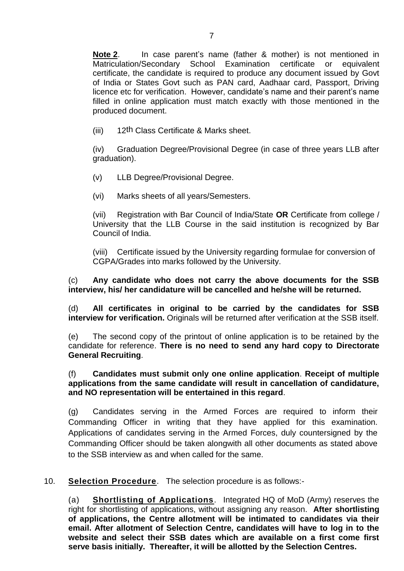**Note 2**. In case parent's name (father & mother) is not mentioned in Matriculation/Secondary School Examination certificate or equivalent certificate, the candidate is required to produce any document issued by Govt of India or States Govt such as PAN card, Aadhaar card, Passport, Driving licence etc for verification. However, candidate's name and their parent's name filled in online application must match exactly with those mentioned in the produced document.

(iii) 12th Class Certificate & Marks sheet.

(iv) Graduation Degree/Provisional Degree (in case of three years LLB after graduation).

(v) LLB Degree/Provisional Degree.

(vi) Marks sheets of all years/Semesters.

(vii) Registration with Bar Council of India/State **OR** Certificate from college / University that the LLB Course in the said institution is recognized by Bar Council of India.

(viii) Certificate issued by the University regarding formulae for conversion of CGPA/Grades into marks followed by the University.

(c) **Any candidate who does not carry the above documents for the SSB interview, his/ her candidature will be cancelled and he/she will be returned.**

(d) **All certificates in original to be carried by the candidates for SSB interview for verification.** Originals will be returned after verification at the SSB itself.

(e) The second copy of the printout of online application is to be retained by the candidate for reference. **There is no need to send any hard copy to Directorate General Recruiting**.

#### (f) **Candidates must submit only one online application**. **Receipt of multiple applications from the same candidate will result in cancellation of candidature, and NO representation will be entertained in this regard**.

(g) Candidates serving in the Armed Forces are required to inform their Commanding Officer in writing that they have applied for this examination. Applications of candidates serving in the Armed Forces, duly countersigned by the Commanding Officer should be taken alongwith all other documents as stated above to the SSB interview as and when called for the same.

10. **Selection Procedure**. The selection procedure is as follows:-

(a) **Shortlisting of Applications**. Integrated HQ of MoD (Army) reserves the right for shortlisting of applications, without assigning any reason. **After shortlisting of applications, the Centre allotment will be intimated to candidates via their email. After allotment of Selection Centre, candidates will have to log in to the website and select their SSB dates which are available on a first come first serve basis initially. Thereafter, it will be allotted by the Selection Centres.**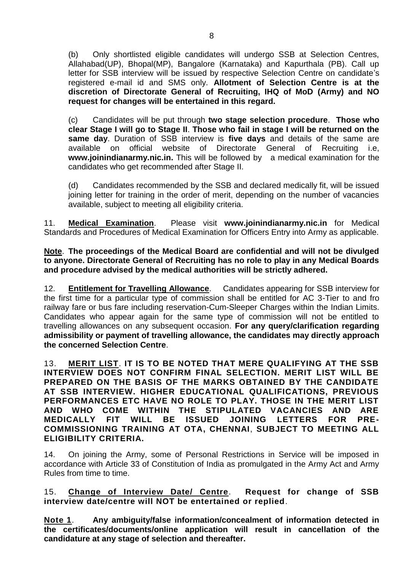(b) Only shortlisted eligible candidates will undergo SSB at Selection Centres, Allahabad(UP), Bhopal(MP), Bangalore (Karnataka) and Kapurthala (PB). Call up letter for SSB interview will be issued by respective Selection Centre on candidate's registered e-mail id and SMS only. **Allotment of Selection Centre is at the discretion of Directorate General of Recruiting, IHQ of MoD (Army) and NO request for changes will be entertained in this regard.** 

(c) Candidates will be put through **two stage selection procedure**. **Those who clear Stage I will go to Stage II**. **Those who fail in stage I will be returned on the same day**. Duration of SSB interview is **five days** and details of the same are available on official website of Directorate General of Recruiting i.e, **[www.joinindianarmy.nic.in.](http://www.joinindianarmy.nic.in/)** This will be followed by a medical examination for the candidates who get recommended after Stage II.

(d) Candidates recommended by the SSB and declared medically fit, will be issued joining letter for training in the order of merit, depending on the number of vacancies available, subject to meeting all eligibility criteria.

11. **Medical Examination**. Please visit **[www.joinindianarmy.nic.in](http://www.joinindianarmy.nic.in/)** for Medical Standards and Procedures of Medical Examination for Officers Entry into Army as applicable.

#### **Note**. **The proceedings of the Medical Board are confidential and will not be divulged to anyone. Directorate General of Recruiting has no role to play in any Medical Boards and procedure advised by the medical authorities will be strictly adhered.**

12. **Entitlement for Travelling Allowance**. Candidates appearing for SSB interview for the first time for a particular type of commission shall be entitled for AC 3-Tier to and fro railway fare or bus fare including reservation-Cum-Sleeper Charges within the Indian Limits. Candidates who appear again for the same type of commission will not be entitled to travelling allowances on any subsequent occasion. **For any query/clarification regarding admissibility or payment of travelling allowance, the candidates may directly approach the concerned Selection Centre**.

13. **MERIT LIST**. **IT IS TO BE NOTED THAT MERE QUALIFYING AT THE SSB INTERVIEW DOES NOT CONFIRM FINAL SELECTION. MERIT LIST WILL BE PREPARED ON THE BASIS OF THE MARKS OBTAINED BY THE CANDIDATE AT SSB INTERVIEW. HIGHER EDUCATIONAL QUALIFICATIONS, PREVIOUS PERFORMANCES ETC HAVE NO ROLE TO PLAY. THOSE IN THE MERIT LIST AND WHO COME WITHIN THE STIPULATED VACANCIES AND ARE MEDICALLY FIT WILL BE ISSUED JOINING LETTERS FOR PRE-COMMISSIONING TRAINING AT OTA, CHENNAI**, **SUBJECT TO MEETING ALL ELIGIBILITY CRITERIA.**

14. On joining the Army, some of Personal Restrictions in Service will be imposed in accordance with Article 33 of Constitution of India as promulgated in the Army Act and Army Rules from time to time.

15. **Change of Interview Date/ Centre**. **Request for change of SSB interview date/centre will NOT be entertained or replied**.

**Note 1**. **Any ambiguity/false information/concealment of information detected in the certificates/documents/online application will result in cancellation of the candidature at any stage of selection and thereafter.**